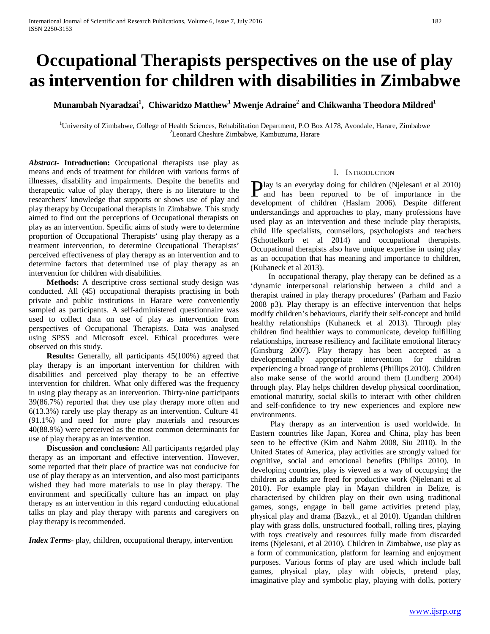# **Occupational Therapists perspectives on the use of play as intervention for children with disabilities in Zimbabwe**

 $\bf{M}$ unambah Nyaradzai $^1$ ,  $\bf{Chiwaridzo\ Mathew}^1$   $\bf{Mwenje\ Adraine}^2$  and  $\bf{Chikwanha\ Theodora\ Mildred}^1$ 

<sup>1</sup>University of Zimbabwe, College of Health Sciences, Rehabilitation Department, P.O Box A178, Avondale, Harare, Zimbabwe  $\frac{27}{2}$  connect Checking Zimbabwe Komburgung, Harare, Leonard Cheshire Zimbabwe, Kambuzuma, Harare

*Abstract***- Introduction:** Occupational therapists use play as means and ends of treatment for children with various forms of illnesses, disability and impairments. Despite the benefits and therapeutic value of play therapy, there is no literature to the researchers' knowledge that supports or shows use of play and play therapy by Occupational therapists in Zimbabwe. This study aimed to find out the perceptions of Occupational therapists on play as an intervention. Specific aims of study were to determine proportion of Occupational Therapists' using play therapy as a treatment intervention, to determine Occupational Therapists' perceived effectiveness of play therapy as an intervention and to determine factors that determined use of play therapy as an intervention for children with disabilities.

 **Methods:** A descriptive cross sectional study design was conducted. All (45) occupational therapists practising in both private and public institutions in Harare were conveniently sampled as participants. A self-administered questionnaire was used to collect data on use of play as intervention from perspectives of Occupational Therapists. Data was analysed using SPSS and Microsoft excel. Ethical procedures were observed on this study.

 **Results:** Generally, all participants 45(100%) agreed that play therapy is an important intervention for children with disabilities and perceived play therapy to be an effective intervention for children. What only differed was the frequency in using play therapy as an intervention. Thirty-nine participants 39(86.7%) reported that they use play therapy more often and 6(13.3%) rarely use play therapy as an intervention. Culture 41 (91.1%) and need for more play materials and resources 40(88.9%) were perceived as the most common determinants for use of play therapy as an intervention.

 **Discussion and conclusion:** All participants regarded play therapy as an important and effective intervention. However, some reported that their place of practice was not conducive for use of play therapy as an intervention, and also most participants wished they had more materials to use in play therapy. The environment and specifically culture has an impact on play therapy as an intervention in this regard conducting educational talks on play and play therapy with parents and caregivers on play therapy is recommended.

*Index Terms*- play, children, occupational therapy, intervention

# I. INTRODUCTION

**D**lay is an everyday doing for children (Njelesani et al 2010) **P**lay is an everyday doing for children (Njelesani et al 2010) and has been reported to be of importance in the development of the late of the contract of the contract of the contract of the contract of the contract of th development of children (Haslam 2006). Despite different understandings and approaches to play, many professions have used play as an intervention and these include play therapists, child life specialists, counsellors, psychologists and teachers (Schottelkorb et al 2014) and occupational therapists. Occupational therapists also have unique expertise in using play as an occupation that has meaning and importance to children, (Kuhaneck et al 2013).

 In occupational therapy, play therapy can be defined as a 'dynamic interpersonal relationship between a child and a therapist trained in play therapy procedures' (Parham and Fazio 2008 p3). Play therapy is an effective intervention that helps modify children's behaviours, clarify their self-concept and build healthy relationships (Kuhaneck et al 2013). Through play children find healthier ways to communicate, develop fulfilling relationships, increase resiliency and facilitate emotional literacy (Ginsburg 2007). Play therapy has been accepted as a developmentally appropriate intervention for children experiencing a broad range of problems (Phillips 2010). Children also make sense of the world around them (Lundberg 2004) through play. Play helps children develop physical coordination, emotional maturity, social skills to interact with other children and self-confidence to try new experiences and explore new environments.

 Play therapy as an intervention is used worldwide. In Eastern countries like Japan, Korea and China, play has been seen to be effective (Kim and Nahm 2008, Siu 2010). In the United States of America, play activities are strongly valued for cognitive, social and emotional benefits (Philips 2010). In developing countries, play is viewed as a way of occupying the children as adults are freed for productive work (Njelenani et al 2010). For example play in Mayan children in Belize, is characterised by children play on their own using traditional games, songs, engage in ball game activities pretend play, physical play and drama (Bazyk., et al 2010). Ugandan children play with grass dolls, unstructured football, rolling tires, playing with toys creatively and resources fully made from discarded items (Njelesani, et al 2010). Children in Zimbabwe, use play as a form of communication, platform for learning and enjoyment purposes. Various forms of play are used which include ball games, physical play, play with objects, pretend play, imaginative play and symbolic play, playing with dolls, pottery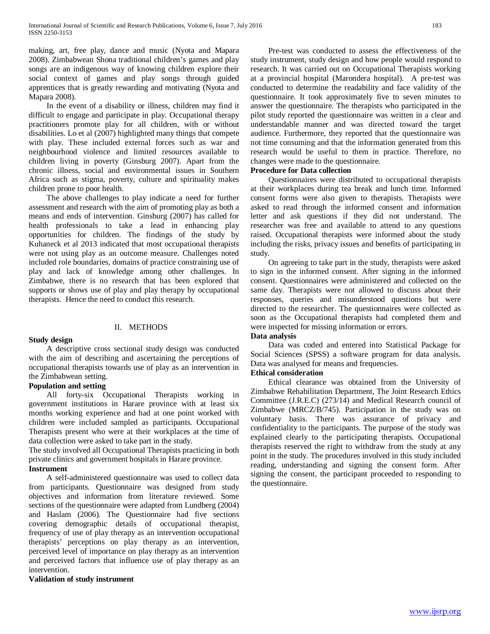making, art, free play, dance and music (Nyota and Mapara 2008). Zimbabwean Shona traditional children's games and play songs are an indigenous way of knowing children explore their social context of games and play songs through guided apprentices that is greatly rewarding and motivating (Nyota and Mapara 2008).

 In the event of a disability or illness, children may find it difficult to engage and participate in play. Occupational therapy practitioners promote play for all children, with or without disabilities. Lo et al (2007) highlighted many things that compete with play. These included external forces such as war and neighbourhood violence and limited resources available to children living in poverty (Ginsburg 2007). Apart from the chronic illness, social and environmental issues in Southern Africa such as stigma, poverty, culture and spirituality makes children prone to poor health.

 The above challenges to play indicate a need for further assessment and research with the aim of promoting play as both a means and ends of intervention. Ginsburg (2007) has called for health professionals to take a lead in enhancing play opportunities for children. The findings of the study by Kuhaneck et al 2013 indicated that most occupational therapists were not using play as an outcome measure. Challenges noted included role boundaries, domains of practice constraining use of play and lack of knowledge among other challenges. In Zimbabwe, there is no research that has been explored that supports or shows use of play and play therapy by occupational therapists. Hence the need to conduct this research.

# II. METHODS

# **Study design**

 A descriptive cross sectional study design was conducted with the aim of describing and ascertaining the perceptions of occupational therapists towards use of play as an intervention in the Zimbabwean setting.

# **Population and setting**

 All forty-six Occupational Therapists working in government institutions in Harare province with at least six months working experience and had at one point worked with children were included sampled as participants. Occupational Therapists present who were at their workplaces at the time of data collection were asked to take part in the study.

The study involved all Occupational Therapists practicing in both private clinics and government hospitals in Harare province.

# **Instrument**

 A self-administered questionnaire was used to collect data from participants. Questionnaire was designed from study objectives and information from literature reviewed. Some sections of the questionnaire were adapted from Lundberg (2004) and Haslam (2006). The Questionnaire had five sections covering demographic details of occupational therapist, frequency of use of play therapy as an intervention occupational therapists' perceptions on play therapy as an intervention, perceived level of importance on play therapy as an intervention and perceived factors that influence use of play therapy as an intervention.

**Validation of study instrument**

 Pre-test was conducted to assess the effectiveness of the study instrument, study design and how people would respond to research. It was carried out on Occupational Therapists working at a provincial hospital (Marondera hospital). A pre-test was conducted to determine the readability and face validity of the questionnaire. It took approximately five to seven minutes to answer the questionnaire. The therapists who participated in the pilot study reported the questionnaire was written in a clear and understandable manner and was directed toward the target audience. Furthermore, they reported that the questionnaire was not time consuming and that the information generated from this research would be useful to them in practice. Therefore, no changes were made to the questionnaire.

# **Procedure for Data collection**

 Questionnaires were distributed to occupational therapists at their workplaces during tea break and lunch time. Informed consent forms were also given to therapists. Therapists were asked to read through the informed consent and information letter and ask questions if they did not understand. The researcher was free and available to attend to any questions raised. Occupational therapists were informed about the study including the risks, privacy issues and benefits of participating in study.

 On agreeing to take part in the study, therapists were asked to sign in the informed consent. After signing in the informed consent. Questionnaires were administered and collected on the same day. Therapists were not allowed to discuss about their responses, queries and misunderstood questions but were directed to the researcher. The questionnaires were collected as soon as the Occupational therapists had completed them and were inspected for missing information or errors.

# **Data analysis**

 Data was coded and entered into Statistical Package for Social Sciences (SPSS) a software program for data analysis. Data was analysed for means and frequencies.

# **Ethical consideration**

 Ethical clearance was obtained from the University of Zimbabwe Rehabilitation Department, The Joint Research Ethics Committee (J.R.E.C) (273/14) and Medical Research council of Zimbabwe (MRCZ/B/745). Participation in the study was on voluntary basis. There was assurance of privacy and confidentiality to the participants. The purpose of the study was explained clearly to the participating therapists. Occupational therapists reserved the right to withdraw from the study at any point in the study. The procedures involved in this study included reading, understanding and signing the consent form. After signing the consent, the participant proceeded to responding to the questionnaire.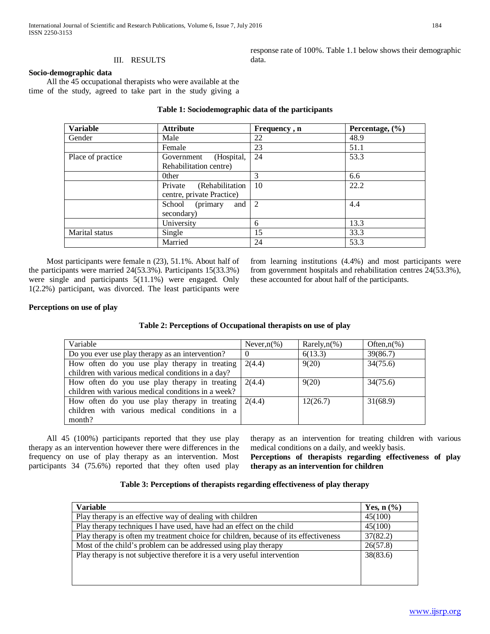response rate of 100%. Table 1.1 below shows their demographic data.

# **Socio-demographic data**

 All the 45 occupational therapists who were available at the time of the study, agreed to take part in the study giving a

| <b>Variable</b>   | <b>Attribute</b>                                        | Frequency, n | Percentage, $(\% )$ |
|-------------------|---------------------------------------------------------|--------------|---------------------|
| Gender            | Male                                                    | 22           | 48.9                |
|                   | Female                                                  | 23           | 51.1                |
| Place of practice | (Hospital,<br>Government<br>Rehabilitation centre)      | 24           | 53.3                |
|                   | 0ther                                                   | 3            | 6.6                 |
|                   | Private<br>(Rehabilitation<br>centre, private Practice) | -10          | 22.2                |
|                   | (primary<br>and<br>School<br>secondary)                 | 2            | 4.4                 |
|                   | University                                              | 6            | 13.3                |
| Marital status    | Single                                                  | 15           | 33.3                |
|                   | Married                                                 | 24           | 53.3                |

# **Table 1: Sociodemographic data of the participants**

 Most participants were female n (23), 51.1%. About half of the participants were married 24(53.3%). Participants 15(33.3%) were single and participants 5(11.1%) were engaged. Only 1(2.2%) participant, was divorced. The least participants were from learning institutions (4.4%) and most participants were from government hospitals and rehabilitation centres 24(53.3%), these accounted for about half of the participants.

# **Perceptions on use of play**

|  | Table 2: Perceptions of Occupational therapists on use of play |  |
|--|----------------------------------------------------------------|--|
|  |                                                                |  |

| Variable                                                                                                 | Never, $n(\%)$ | Rarely, $n$ (%) | Often, $n(\%)$ |
|----------------------------------------------------------------------------------------------------------|----------------|-----------------|----------------|
| Do you ever use play therapy as an intervention?                                                         |                | 6(13.3)         | 39(86.7)       |
| How often do you use play therapy in treating<br>children with various medical conditions in a day?      | 2(4.4)         | 9(20)           | 34(75.6)       |
| How often do you use play therapy in treating<br>children with various medical conditions in a week?     | 2(4.4)         | 9(20)           | 34(75.6)       |
| How often do you use play therapy in treating<br>children with various medical conditions in a<br>month? | 2(4.4)         | 12(26.7)        | 31(68.9)       |

 All 45 (100%) participants reported that they use play therapy as an intervention however there were differences in the frequency on use of play therapy as an intervention. Most participants 34 (75.6%) reported that they often used play therapy as an intervention for treating children with various medical conditions on a daily, and weekly basis.

**Perceptions of therapists regarding effectiveness of play therapy as an intervention for children** 

# **Table 3: Perceptions of therapists regarding effectiveness of play therapy**

| 45(100)  |
|----------|
|          |
| 45(100)  |
| 37(82.2) |
| 26(57.8) |
| 38(83.6) |
|          |
|          |
|          |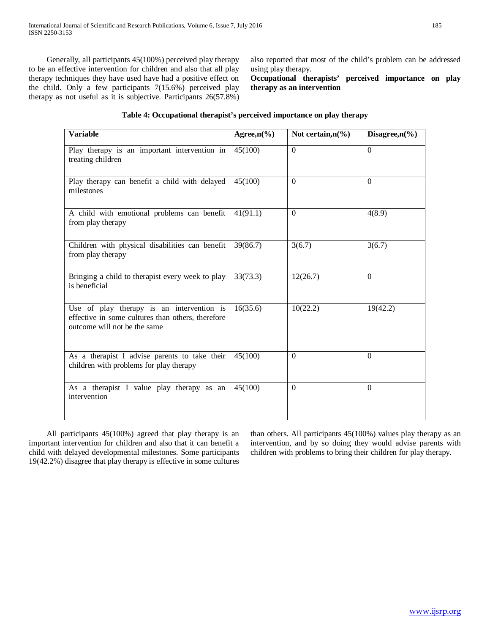Generally, all participants 45(100%) perceived play therapy to be an effective intervention for children and also that all play therapy techniques they have used have had a positive effect on the child. Only a few participants 7(15.6%) perceived play therapy as not useful as it is subjective. Participants 26(57.8%) also reported that most of the child's problem can be addressed using play therapy.

**Occupational therapists' perceived importance on play therapy as an intervention** 

# **Table 4: Occupational therapist's perceived importance on play therapy**

| Variable                                                                                                                       | Agree, $n\frac{6}{6}$ | Not certain, $n\frac{6}{6}$ | Disagree, $n\frac{6}{6}$ |
|--------------------------------------------------------------------------------------------------------------------------------|-----------------------|-----------------------------|--------------------------|
| Play therapy is an important intervention in<br>treating children                                                              | 45(100)               | $\Omega$                    | $\Omega$                 |
| Play therapy can benefit a child with delayed<br>milestones                                                                    | 45(100)               | $\Omega$                    | $\Omega$                 |
| A child with emotional problems can benefit<br>from play therapy                                                               | 41(91.1)              | $\Omega$                    | 4(8.9)                   |
| Children with physical disabilities can benefit<br>from play therapy                                                           | 39(86.7)              | 3(6.7)                      | 3(6.7)                   |
| Bringing a child to therapist every week to play<br>is beneficial                                                              | 33(73.3)              | 12(26.7)                    | $\Omega$                 |
| Use of play therapy is an intervention is<br>effective in some cultures than others, therefore<br>outcome will not be the same | 16(35.6)              | 10(22.2)                    | 19(42.2)                 |
| As a therapist I advise parents to take their<br>children with problems for play therapy                                       | 45(100)               | $\Omega$                    | $\Omega$                 |
| As a therapist I value play therapy as an<br>intervention                                                                      | 45(100)               | $\Omega$                    | $\Omega$                 |

 All participants 45(100%) agreed that play therapy is an important intervention for children and also that it can benefit a child with delayed developmental milestones. Some participants 19(42.2%) disagree that play therapy is effective in some cultures than others. All participants 45(100%) values play therapy as an intervention, and by so doing they would advise parents with children with problems to bring their children for play therapy.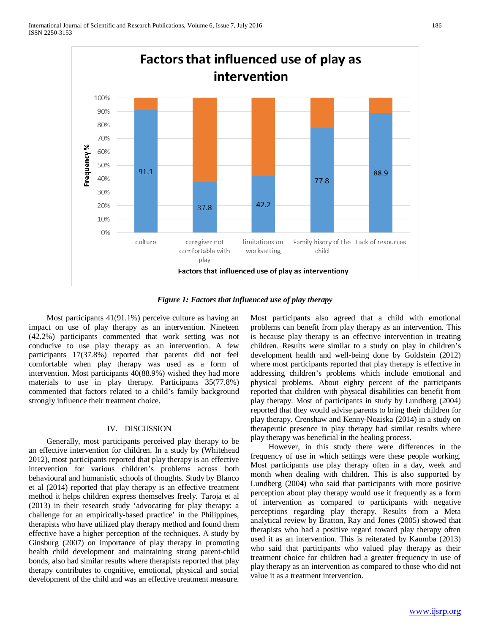

*Figure 1: Factors that influenced use of play therapy*

 Most participants 41(91.1%) perceive culture as having an impact on use of play therapy as an intervention. Nineteen (42.2%) participants commented that work setting was not conducive to use play therapy as an intervention. A few participants 17(37.8%) reported that parents did not feel comfortable when play therapy was used as a form of intervention. Most participants 40(88.9%) wished they had more materials to use in play therapy. Participants 35(77.8%) commented that factors related to a child's family background strongly influence their treatment choice.

# IV. DISCUSSION

 Generally, most participants perceived play therapy to be an effective intervention for children. In a study by (Whitehead 2012), most participants reported that play therapy is an effective intervention for various children's problems across both behavioural and humanistic schools of thoughts. Study by Blanco et al (2014) reported that play therapy is an effective treatment method it helps children express themselves freely. Taroja et al (2013) in their research study 'advocating for play therapy: a challenge for an empirically-based practice' in the Philippines, therapists who have utilized play therapy method and found them effective have a higher perception of the techniques. A study by Ginsburg (2007) on importance of play therapy in promoting health child development and maintaining strong parent-child bonds, also had similar results where therapists reported that play therapy contributes to cognitive, emotional, physical and social development of the child and was an effective treatment measure.

Most participants also agreed that a child with emotional problems can benefit from play therapy as an intervention. This is because play therapy is an effective intervention in treating children. Results were similar to a study on play in children's development health and well-being done by Goldstein (2012) where most participants reported that play therapy is effective in addressing children's problems which include emotional and physical problems. About eighty percent of the participants reported that children with physical disabilities can benefit from play therapy. Most of participants in study by Lundberg (2004) reported that they would advise parents to bring their children for play therapy. Crenshaw and Kenny-Noziska (2014) in a study on therapeutic presence in play therapy had similar results where play therapy was beneficial in the healing process.

 However, in this study there were differences in the frequency of use in which settings were these people working. Most participants use play therapy often in a day, week and month when dealing with children. This is also supported by Lundberg (2004) who said that participants with more positive perception about play therapy would use it frequently as a form of intervention as compared to participants with negative perceptions regarding play therapy. Results from a Meta analytical review by Bratton, Ray and Jones (2005) showed that therapists who had a positive regard toward play therapy often used it as an intervention. This is reiterated by Kaumba (2013) who said that participants who valued play therapy as their treatment choice for children had a greater frequency in use of play therapy as an intervention as compared to those who did not value it as a treatment intervention.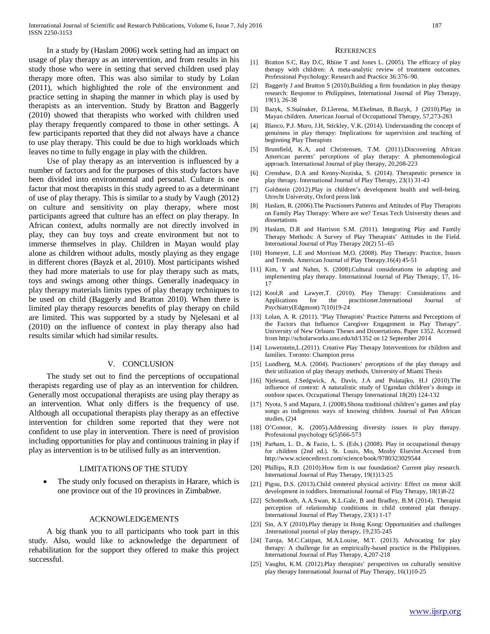In a study by (Haslam 2006) work setting had an impact on usage of play therapy as an intervention, and from results in his study those who were in setting that served children used play therapy more often. This was also similar to study by Lolan (2011), which highlighted the role of the environment and practice setting in shaping the manner in which play is used by therapists as an intervention. Study by Bratton and Baggerly (2010) showed that therapists who worked with children used play therapy frequently compared to those in other settings. A few participants reported that they did not always have a chance to use play therapy. This could be due to high workloads which leaves no time to fully engage in play with the children.

 Use of play therapy as an intervention is influenced by a number of factors and for the purposes of this study factors have been divided into environmental and personal. Culture is one factor that most therapists in this study agreed to as a determinant of use of play therapy. This is similar to a study by Vaugh (2012) on culture and sensitivity on play therapy, where most participants agreed that culture has an effect on play therapy. In African context, adults normally are not directly involved in play, they can buy toys and create environment but not to immerse themselves in play. Children in Mayan would play alone as children without adults, mostly playing as they engage in different chores (Bayzk et al, 2010). Most participants wished they had more materials to use for play therapy such as mats, toys and swings among other things. Generally inadequacy in play therapy materials limits types of play therapy techniques to be used on child (Baggerly and Bratton 2010). When there is limited play therapy resources benefits of play therapy on child are limited. This was supported by a study by Njelesani et al (2010) on the influence of context in play therapy also had results similar which had similar results.

## V. CONCLUSION

 The study set out to find the perceptions of occupational therapists regarding use of play as an intervention for children. Generally most occupational therapists are using play therapy as an intervention. What only differs is the frequency of use. Although all occupational therapists play therapy as an effective intervention for children some reported that they were not confident to use play in intervention. There is need of provision including opportunities for play and continuous training in play if play as intervention is to be utilised fully as an intervention.

# LIMITATIONS OF THE STUDY

The study only focused on therapists in Harare, which is one province out of the 10 provinces in Zimbabwe.

# ACKNOWLEDGEMENTS

 A big thank you to all participants who took part in this study. Also, would like to acknowledge the department of rehabilitation for the support they offered to make this project successful.

### **REFERENCES**

- [1] Bratton S.C, Ray D.C, Rhine T and Jones L. (2005). The efficacy of play therapy with children: A meta-analytic review of treatment outcomes. Professional Psychology: Research and Practice 36:376–90.
- [2] Baggerly J and Bratton S (2010).Building a firm foundation in play therapy research: Response to Philippines, International Journal of Play Therapy, 19(1), 26-38
- [3] Bazyk, S.Stalnaker, D.Llerena, M.Ekelman, B.Bazyk, J (2010).Play in Mayan children. American Journal of Occupational Therapy, 57,273-283
- [4] Blanco, P.J. Muro, J.H, Stickley, V.K. (2014). Understanding the concept of genuiness in play therapy: Implications for supervision and teaching of beginning Play Therapists
- [5] Brumfield, K.A, and Christensen, T.M. (2011).Discovering African American parents' perceptions of play therapy: A phenomenological approach. International Journal of play therapy, 20,208-223
- [6] Crenshaw, D.A and Kenny-Noziska, S. (2014). Therapeutic presence in play therapy. International Journal of Play Therapy, 23(1) 31-43
- [7] Goldstein (2012).Play in children's development health and well-being. Utrecht University, Oxford press link
- [8] Haslam, R. (2006).The Practioners Patterns and Attitudes of Play Therapists on Family Play Therapy: Where are we? Texas Tech University theses and dissertations
- [9] Haslam, D.R and Harrison S.M. (2011). Integrating Play and Family Therapy Methods: A Survey of Play Therapists' Attitudes in the Field. International Journal of Play Therapy 20(2) 51–65
- [10] Homeyer, L.E and Morrison M,O. (2008). Play Therapy: Practice, Issues and Trends. American Journal of Play Therapy.16(4) 45-51
- [11] Kim, Y and Nahm, S. (2008).Cultural considerations in adapting and implementing play therapy. International Journal of Play Therapy, 17, 16- 17
- [12] Kool,R and Lawyer,T. (2010). Play Therapy: Considerations and Applications for the practitioner.International Journal of Psychiatry(Edgmont) 7(10)19-24
- [13] Lolan, A. R. (2011). "Play Therapists' Practice Patterns and Perceptions of the Factors that Influence Caregiver Engagement in Play Therapy". University of New Orleans Theses and Dissertations. Paper 1352. Accessed from http://scholarworks.uno.edu/td/1352 on 12 September 2014
- [14] Lowenstein, L. (2011). Creative Play Therapy Interventions for children and families. Toronto: Champion press
- [15] Lundberg, M.A. (2004). Practioners' perceptions of the play therapy and their utilization of play therapy methods, University of Miami Thesis
- [16] Njelesani, J.Sedgwick, A, Davis, J.A and Polatajko, H.J (2010). The influence of context: A naturalistic study of Ugandan children's doings in outdoor spaces. Occupational Therapy International 18(20) 124-132
- [17] Nyota, S and Mapara, J. (2008).Shona traditional children's games and play songs as indigenous ways of knowing children. Journal of Pan African studies, (2)4
- [18] O'Connor, K. (2005).Addressing diversity issues in play therapy. Professional psychology 6(5)566-573
- [19] Parham, L. D., & Fazio, L. S. (Eds.) (2008). Play in occupational therapy for children (2nd ed.). St. Louis, Mo, Mosby Elsevier.Accesed from http://www.sciencedirect.com/science/book/9780323029544
- [20] Phillips, R.D. (2010).How firm is our foundation? Current play research. International Journal of Play Therapy, 19(1)13-25
- [21] Pigou, D.S. (2013).Child centered physical activity: Effect on motor skill development in toddlers. International Journal of Play Therapy, 18(1)8-22
- [22] Schottelkorb, A.A.Swan, K.L.Gale, B and Bradley, B.M (2014). Therapist perception of relationship conditions in child centered plat therapy. International Journal of Play Therapy, 23(1) 1-17
- [23] Sin, A.Y (2010).Play therapy in Hong Kong: Opportunities and challenges .International journal of play therapy, 19,235-245
- [24] Taroja, M.C.Catipan, M.A.Louise, M.T. (2013). Advocating for play therapy: A challenge for an empirically-based practice in the Philippines. International Journal of Play Therapy, 4,207-218
- [25] Vaughn, K.M. (2012).Play therapists' perspectives on culturally sensitive play therapy International Journal of Play Therapy, 16(1)10-25